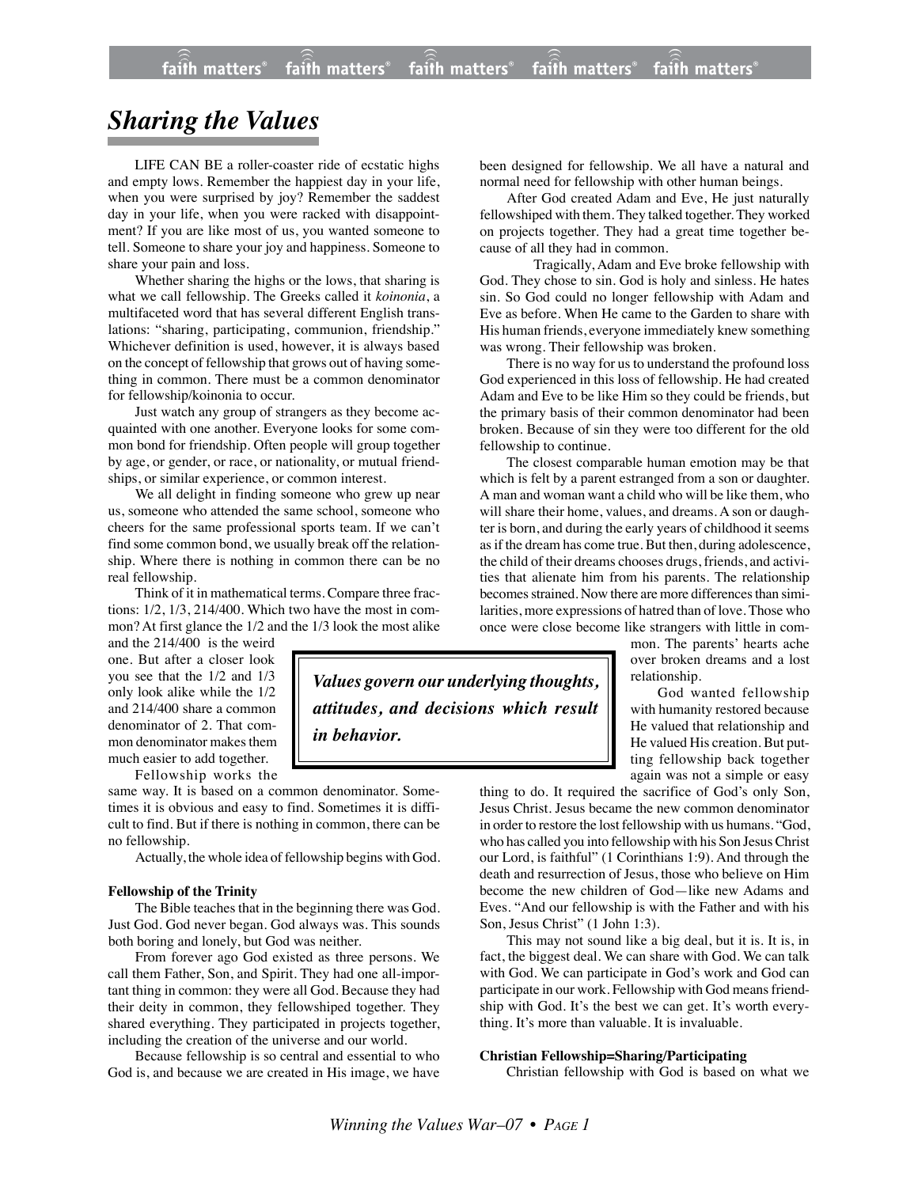# *Sharing the Values*

LIFE CAN BE a roller-coaster ride of ecstatic highs and empty lows. Remember the happiest day in your life, when you were surprised by joy? Remember the saddest day in your life, when you were racked with disappointment? If you are like most of us, you wanted someone to tell. Someone to share your joy and happiness. Someone to share your pain and loss.

Whether sharing the highs or the lows, that sharing is what we call fellowship. The Greeks called it *koinonia*, a multifaceted word that has several different English translations: "sharing, participating, communion, friendship." Whichever definition is used, however, it is always based on the concept of fellowship that grows out of having something in common. There must be a common denominator for fellowship/koinonia to occur.

Just watch any group of strangers as they become acquainted with one another. Everyone looks for some common bond for friendship. Often people will group together by age, or gender, or race, or nationality, or mutual friendships, or similar experience, or common interest.

We all delight in finding someone who grew up near us, someone who attended the same school, someone who cheers for the same professional sports team. If we can't find some common bond, we usually break off the relationship. Where there is nothing in common there can be no real fellowship.

Think of it in mathematical terms. Compare three fractions: 1/2, 1/3, 214/400. Which two have the most in common? At first glance the 1/2 and the 1/3 look the most alike

and the 214/400 is the weird one. But after a closer look you see that the 1/2 and 1/3 only look alike while the 1/2 and 214/400 share a common denominator of 2. That common denominator makes them much easier to add together.

Fellowship works the

same way. It is based on a common denominator. Sometimes it is obvious and easy to find. Sometimes it is difficult to find. But if there is nothing in common, there can be no fellowship.

Actually, the whole idea of fellowship begins with God.

*in behavior.*

## **Fellowship of the Trinity**

The Bible teaches that in the beginning there was God. Just God. God never began. God always was. This sounds both boring and lonely, but God was neither.

From forever ago God existed as three persons. We call them Father, Son, and Spirit. They had one all-important thing in common: they were all God. Because they had their deity in common, they fellowshiped together. They shared everything. They participated in projects together, including the creation of the universe and our world.

Because fellowship is so central and essential to who God is, and because we are created in His image, we have been designed for fellowship. We all have a natural and normal need for fellowship with other human beings.

After God created Adam and Eve, He just naturally fellowshiped with them. They talked together. They worked on projects together. They had a great time together because of all they had in common.

Tragically, Adam and Eve broke fellowship with God. They chose to sin. God is holy and sinless. He hates sin. So God could no longer fellowship with Adam and Eve as before. When He came to the Garden to share with His human friends, everyone immediately knew something was wrong. Their fellowship was broken.

There is no way for us to understand the profound loss God experienced in this loss of fellowship. He had created Adam and Eve to be like Him so they could be friends, but the primary basis of their common denominator had been broken. Because of sin they were too different for the old fellowship to continue.

The closest comparable human emotion may be that which is felt by a parent estranged from a son or daughter. A man and woman want a child who will be like them, who will share their home, values, and dreams. A son or daughter is born, and during the early years of childhood it seems as if the dream has come true. But then, during adolescence, the child of their dreams chooses drugs, friends, and activities that alienate him from his parents. The relationship becomes strained. Now there are more differences than similarities, more expressions of hatred than of love. Those who once were close become like strangers with little in com-

> mon. The parents' hearts ache over broken dreams and a lost relationship.

God wanted fellowship with humanity restored because He valued that relationship and He valued His creation. But putting fellowship back together again was not a simple or easy

thing to do. It required the sacrifice of God's only Son, Jesus Christ. Jesus became the new common denominator in order to restore the lost fellowship with us humans. "God, who has called you into fellowship with his Son Jesus Christ our Lord, is faithful" (1 Corinthians 1:9). And through the death and resurrection of Jesus, those who believe on Him become the new children of God—like new Adams and Eves. "And our fellowship is with the Father and with his Son, Jesus Christ" (1 John 1:3).

This may not sound like a big deal, but it is. It is, in fact, the biggest deal. We can share with God. We can talk with God. We can participate in God's work and God can participate in our work. Fellowship with God means friendship with God. It's the best we can get. It's worth everything. It's more than valuable. It is invaluable.

# **Christian Fellowship=Sharing/Participating**

Christian fellowship with God is based on what we

*Values govern our underlying thoughts, attitudes, and decisions which result*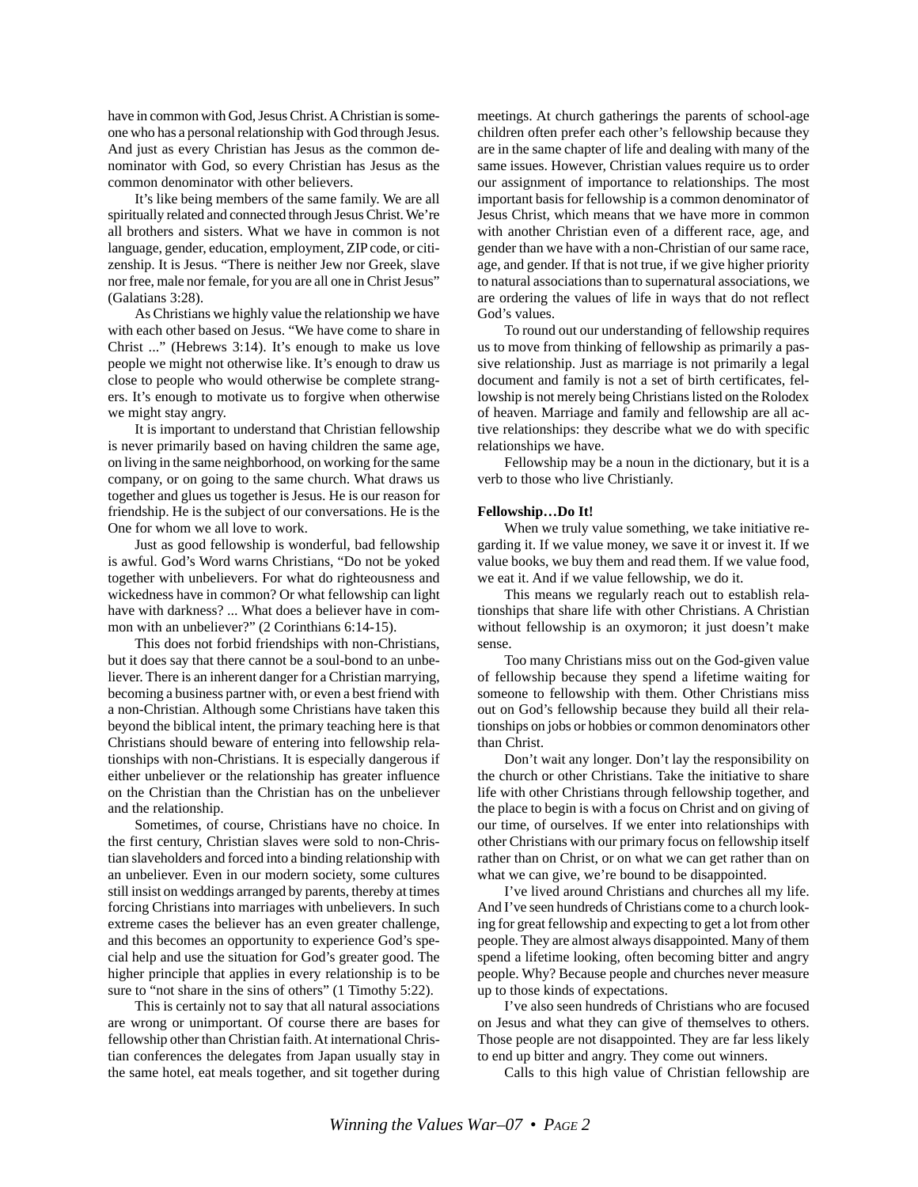have in common with God, Jesus Christ. A Christian is someone who has a personal relationship with God through Jesus. And just as every Christian has Jesus as the common denominator with God, so every Christian has Jesus as the common denominator with other believers.

It's like being members of the same family. We are all spiritually related and connected through Jesus Christ. We're all brothers and sisters. What we have in common is not language, gender, education, employment, ZIP code, or citizenship. It is Jesus. "There is neither Jew nor Greek, slave nor free, male nor female, for you are all one in Christ Jesus" (Galatians 3:28).

As Christians we highly value the relationship we have with each other based on Jesus. "We have come to share in Christ ..." (Hebrews 3:14). It's enough to make us love people we might not otherwise like. It's enough to draw us close to people who would otherwise be complete strangers. It's enough to motivate us to forgive when otherwise we might stay angry.

It is important to understand that Christian fellowship is never primarily based on having children the same age, on living in the same neighborhood, on working for the same company, or on going to the same church. What draws us together and glues us together is Jesus. He is our reason for friendship. He is the subject of our conversations. He is the One for whom we all love to work.

Just as good fellowship is wonderful, bad fellowship is awful. God's Word warns Christians, "Do not be yoked together with unbelievers. For what do righteousness and wickedness have in common? Or what fellowship can light have with darkness? ... What does a believer have in common with an unbeliever?" (2 Corinthians 6:14-15).

This does not forbid friendships with non-Christians, but it does say that there cannot be a soul-bond to an unbeliever. There is an inherent danger for a Christian marrying, becoming a business partner with, or even a best friend with a non-Christian. Although some Christians have taken this beyond the biblical intent, the primary teaching here is that Christians should beware of entering into fellowship relationships with non-Christians. It is especially dangerous if either unbeliever or the relationship has greater influence on the Christian than the Christian has on the unbeliever and the relationship.

Sometimes, of course, Christians have no choice. In the first century, Christian slaves were sold to non-Christian slaveholders and forced into a binding relationship with an unbeliever. Even in our modern society, some cultures still insist on weddings arranged by parents, thereby at times forcing Christians into marriages with unbelievers. In such extreme cases the believer has an even greater challenge, and this becomes an opportunity to experience God's special help and use the situation for God's greater good. The higher principle that applies in every relationship is to be sure to "not share in the sins of others" (1 Timothy 5:22).

This is certainly not to say that all natural associations are wrong or unimportant. Of course there are bases for fellowship other than Christian faith. At international Christian conferences the delegates from Japan usually stay in the same hotel, eat meals together, and sit together during meetings. At church gatherings the parents of school-age children often prefer each other's fellowship because they are in the same chapter of life and dealing with many of the same issues. However, Christian values require us to order our assignment of importance to relationships. The most important basis for fellowship is a common denominator of Jesus Christ, which means that we have more in common with another Christian even of a different race, age, and gender than we have with a non-Christian of our same race, age, and gender. If that is not true, if we give higher priority to natural associations than to supernatural associations, we are ordering the values of life in ways that do not reflect God's values.

To round out our understanding of fellowship requires us to move from thinking of fellowship as primarily a passive relationship. Just as marriage is not primarily a legal document and family is not a set of birth certificates, fellowship is not merely being Christians listed on the Rolodex of heaven. Marriage and family and fellowship are all active relationships: they describe what we do with specific relationships we have.

Fellowship may be a noun in the dictionary, but it is a verb to those who live Christianly.

### **Fellowship…Do It!**

When we truly value something, we take initiative regarding it. If we value money, we save it or invest it. If we value books, we buy them and read them. If we value food, we eat it. And if we value fellowship, we do it.

This means we regularly reach out to establish relationships that share life with other Christians. A Christian without fellowship is an oxymoron; it just doesn't make sense.

Too many Christians miss out on the God-given value of fellowship because they spend a lifetime waiting for someone to fellowship with them. Other Christians miss out on God's fellowship because they build all their relationships on jobs or hobbies or common denominators other than Christ.

Don't wait any longer. Don't lay the responsibility on the church or other Christians. Take the initiative to share life with other Christians through fellowship together, and the place to begin is with a focus on Christ and on giving of our time, of ourselves. If we enter into relationships with other Christians with our primary focus on fellowship itself rather than on Christ, or on what we can get rather than on what we can give, we're bound to be disappointed.

I've lived around Christians and churches all my life. And I've seen hundreds of Christians come to a church looking for great fellowship and expecting to get a lot from other people. They are almost always disappointed. Many of them spend a lifetime looking, often becoming bitter and angry people. Why? Because people and churches never measure up to those kinds of expectations.

I've also seen hundreds of Christians who are focused on Jesus and what they can give of themselves to others. Those people are not disappointed. They are far less likely to end up bitter and angry. They come out winners.

Calls to this high value of Christian fellowship are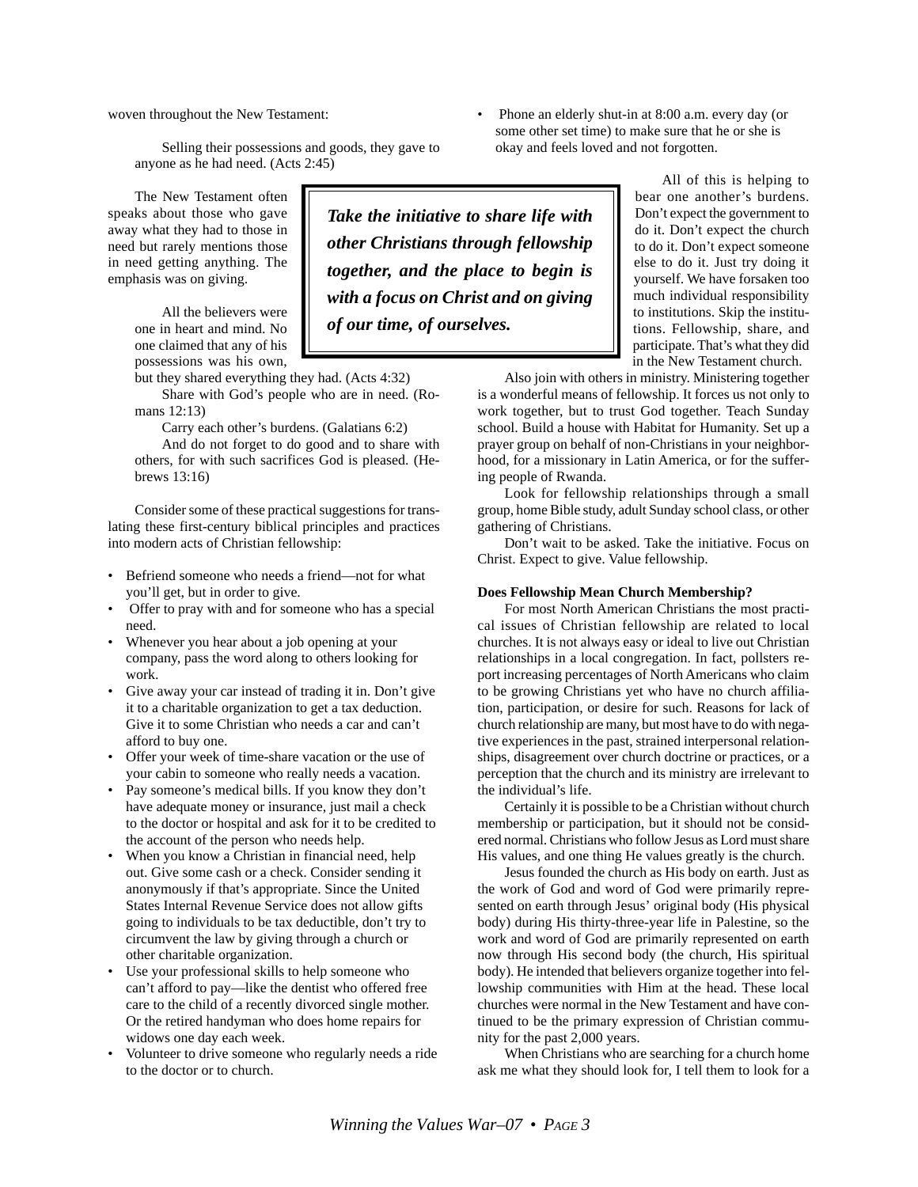woven throughout the New Testament:

Selling their possessions and goods, they gave to anyone as he had need. (Acts 2:45)

> *Take the initiative to share life with other Christians through fellowship together, and the place to begin is with a focus on Christ and on giving*

*of our time, of ourselves.*

The New Testament often speaks about those who gave away what they had to those in need but rarely mentions those in need getting anything. The emphasis was on giving.

> All the believers were one in heart and mind. No one claimed that any of his possessions was his own,

but they shared everything they had. (Acts 4:32)

Share with God's people who are in need. (Romans 12:13)

Carry each other's burdens. (Galatians 6:2)

And do not forget to do good and to share with others, for with such sacrifices God is pleased. (Hebrews 13:16)

Consider some of these practical suggestions for translating these first-century biblical principles and practices into modern acts of Christian fellowship:

- Befriend someone who needs a friend—not for what you'll get, but in order to give.
- Offer to pray with and for someone who has a special need.
- Whenever you hear about a job opening at your company, pass the word along to others looking for work.
- Give away your car instead of trading it in. Don't give it to a charitable organization to get a tax deduction. Give it to some Christian who needs a car and can't afford to buy one.
- Offer your week of time-share vacation or the use of your cabin to someone who really needs a vacation.
- Pay someone's medical bills. If you know they don't have adequate money or insurance, just mail a check to the doctor or hospital and ask for it to be credited to the account of the person who needs help.
- When you know a Christian in financial need, help out. Give some cash or a check. Consider sending it anonymously if that's appropriate. Since the United States Internal Revenue Service does not allow gifts going to individuals to be tax deductible, don't try to circumvent the law by giving through a church or other charitable organization.
- Use your professional skills to help someone who can't afford to pay—like the dentist who offered free care to the child of a recently divorced single mother. Or the retired handyman who does home repairs for widows one day each week.
- Volunteer to drive someone who regularly needs a ride to the doctor or to church.

• Phone an elderly shut-in at 8:00 a.m. every day (or some other set time) to make sure that he or she is okay and feels loved and not forgotten.

> All of this is helping to bear one another's burdens. Don't expect the government to do it. Don't expect the church to do it. Don't expect someone else to do it. Just try doing it yourself. We have forsaken too much individual responsibility to institutions. Skip the institutions. Fellowship, share, and participate. That's what they did in the New Testament church.

Also join with others in ministry. Ministering together is a wonderful means of fellowship. It forces us not only to work together, but to trust God together. Teach Sunday school. Build a house with Habitat for Humanity. Set up a prayer group on behalf of non-Christians in your neighborhood, for a missionary in Latin America, or for the suffering people of Rwanda.

Look for fellowship relationships through a small group, home Bible study, adult Sunday school class, or other gathering of Christians.

Don't wait to be asked. Take the initiative. Focus on Christ. Expect to give. Value fellowship.

#### **Does Fellowship Mean Church Membership?**

For most North American Christians the most practical issues of Christian fellowship are related to local churches. It is not always easy or ideal to live out Christian relationships in a local congregation. In fact, pollsters report increasing percentages of North Americans who claim to be growing Christians yet who have no church affiliation, participation, or desire for such. Reasons for lack of church relationship are many, but most have to do with negative experiences in the past, strained interpersonal relationships, disagreement over church doctrine or practices, or a perception that the church and its ministry are irrelevant to the individual's life.

Certainly it is possible to be a Christian without church membership or participation, but it should not be considered normal. Christians who follow Jesus as Lord must share His values, and one thing He values greatly is the church.

Jesus founded the church as His body on earth. Just as the work of God and word of God were primarily represented on earth through Jesus' original body (His physical body) during His thirty-three-year life in Palestine, so the work and word of God are primarily represented on earth now through His second body (the church, His spiritual body). He intended that believers organize together into fellowship communities with Him at the head. These local churches were normal in the New Testament and have continued to be the primary expression of Christian community for the past 2,000 years.

When Christians who are searching for a church home ask me what they should look for, I tell them to look for a